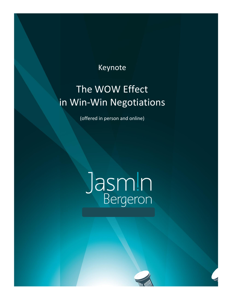## Keynote

I

# The WOW Effect in Win-Win Negotiations

(offered in person and online)

# Jasmin

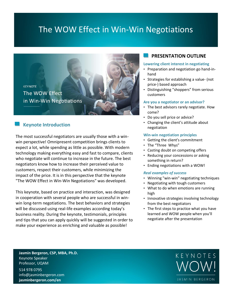## The WOW Effect in Win-Win Negotiations



### **Keynote Introduction**

The most successful negotiators are usually those with a winwin perspective! Omnipresent competition brings clients to expect a lot, while spending as little as possible. With modern technology making everything easy and fast to compare, clients who negotiate will continue to increase in the future. The best negotiators know how to increase their perceived value to customers, respect their customers, while minimizing the impact of the price. It is in this perspective that the keynote "The WOW Effect in Win-Win Negotiations" was developed.

This keynote, based on practice and interaction, was designed in cooperation with several people who are successful in winwin long-term negotiations. The best behaviors and strategies will be discussed using real-life examples according today's business reality. During the keynote, testimonials, principles and tips that you can apply quickly will be suggested in order to make your experience as enriching and valuable as possible!

#### **PRESENTATION OUTLINE**

#### **Lowering client interest in negotiating**

- Preparation and negotiation go hand-inhand
- Strategies for establishing a value- (not price-) based approach
- Distinguishing "shoppers" from serious customers

#### **Are you a negotiator or an advisor?**

- The best advisors rarely negotiate. How come?
- Do you sell price or advice?
- Changing the client's attitude about negotiation

#### **Win-win negotiation principles**

- Getting the client's commitment
- The "Three Whys"
- Casting doubt on competing offers
- Reducing your concessions or asking something in return?
- Ending negotiations with a WOW!

#### *Real examples of success*

- Winning "win-win" negotiating techniques
- Negotiating with tough customers
- What to do when emotions are running high
- Innovative strategies involving technology from the best negotiators
- The first steps to practice what you have learned and WOW people when you'll negotiate after the presentation

**Jasmin Bergeron, CSP, MBA, Ph.D.** Keynote Speaker Professor, UQAM

514 978 0795 info@jasminbergeron.com **jasminbergeron.com/en**